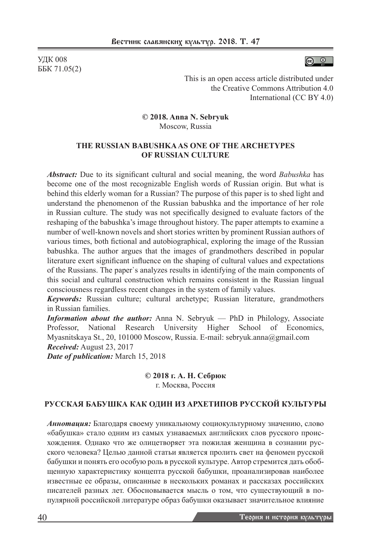УДК 008 ББК 71.05(2)



This is an open access article distributed under the Creative Commons Attribution 4.0 International (CC BY 4.0)

**© 2018. Anna N. Sebryuk** Moscow, Russia

#### **THE RUSSIAN BABUSHKA AS ONE OF THE ARCHETYPES OF RUSSIAN CULTURE**

*Abstract:* Due to its significant cultural and social meaning, the word *Babushka* has become one of the most recognizable English words of Russian origin. But what is behind this elderly woman for a Russian? The purpose of this paper is to shed light and understand the phenomenon of the Russian babushka and the importance of her role in Russian culture. The study was not specifically designed to evaluate factors of the reshaping of the babushka's image throughout history. The paper attempts to examine a number of well-known novels and short stories written by prominent Russian authors of various times, both fictional and autobiographical, exploring the image of the Russian babushka. The author argues that the images of grandmothers described in popular literature exert significant influence on the shaping of cultural values and expectations of the Russians. The paper`s analyzes results in identifying of the main components of this social and cultural construction which remains consistent in the Russian lingual consciousness regardless recent changes in the system of family values.

*Keywords:* Russian culture; cultural archetype; Russian literature, grandmothers in Russian families.

*Information about the author:* Anna N. Sebryuk — PhD in Philology, Associate Professor, National Research University Higher School of Economics, Myasnitskaya St., 20, 101000 Moscow, Russia. E-mail: sebryuk.anna@gmail.com *Received:* August 23, 2017

*Date of publication:* March 15, 2018

#### **© 2018 г. А. Н. Себрюк** г. Москва, Россия

# **РУССКАЯ БАБУШКА КАК ОДИН ИЗ АРХЕТИПОВ РУССКОЙ КУЛЬТУРЫ**

*Аннотация:* Благодаря своему уникальному социокультурному значению, слово «бабушка» стало одним из самых узнаваемых английских слов русского происхождения. Однако что же олицетворяет эта пожилая женщина в сознании русского человека? Целью данной статьи является пролить свет на феномен русской бабушки и понять его особую роль в русской культуре. Автор стремится дать обобщенную характеристику концепта русской бабушки, проанализировав наиболее известные ее образы, описанные в нескольких романах и рассказах российских писателей разных лет. Обосновывается мысль о том, что существующий в популярной российской литературе образ бабушки оказывает значительное влияние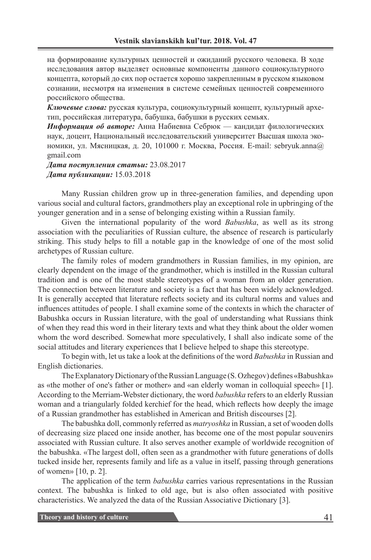на формирование культурных ценностей и ожиданий русского человека. В ходе исследования автор выделяет основные компоненты данного социокультурного концепта, который до сих пор остается хорошо закрепленным в русском языковом сознании, несмотря на изменения в системе семейных ценностей современного российского общества.

*Ключевые слова:* русская культура, социокультурный концепт, культурный архетип, российская литература, бабушка, бабушки в русских семьях.

*Информация об авторе:* Анна Набиевна Себрюк — кандидат филологических наук, доцент, Национальный исследовательский университет Высшая школа экономики, ул. Мясницкая, д. 20, 101000 г. Москва, Россия. E-mail: sebryuk.anna@ gmail.com

*Дата поступления статьи:* 23.08.2017 *Дата публикации:* 15.03.2018

Many Russian children grow up in three-generation families, and depending upon various social and cultural factors, grandmothers play an exceptional role in upbringing of the younger generation and in a sense of belonging existing within a Russian family.

Given the international popularity of the word *Babushka*, as well as its strong association with the peculiarities of Russian culture, the absence of research is particularly striking. This study helps to fill a notable gap in the knowledge of one of the most solid archetypes of Russian culture.

The family roles of modern grandmothers in Russian families, in my opinion, are clearly dependent on the image of the grandmother, which is instilled in the Russian cultural tradition and is one of the most stable stereotypes of a woman from an older generation. The connection between literature and society is a fact that has been widely acknowledged. It is generally accepted that literature reflects society and its cultural norms and values and influences attitudes of people. I shall examine some of the contexts in which the character of Babushka occurs in Russian literature, with the goal of understanding what Russians think of when they read this word in their literary texts and what they think about the older women whom the word described. Somewhat more speculatively, I shall also indicate some of the social attitudes and literary experiences that I believe helped to shape this stereotype.

To begin with, let us take a look at the definitions of the word *Babushka* in Russian and English dictionaries.

The Explanatory Dictionary of the Russian Language (S. Ozhegov) defines «Babushka» as «the mother of one's father or mother» and «an elderly woman in colloquial speech» [1]. According to the Merriam-Webster dictionary, the word *babushka* refers to an elderly Russian woman and a triangularly folded kerchief for the head, which reflects how deeply the image of a Russian grandmother has established in American and British discourses [2].

The babushka doll, commonly referred as *matryoshka* in Russian, a set of wooden dolls of decreasing size placed one inside another, has become one of the most popular souvenirs associated with Russian culture. It also serves another example of worldwide recognition of the babushka. «The largest doll, often seen as a grandmother with future generations of dolls tucked inside her, represents family and life as a value in itself, passing through generations of women» [10, p. 2].

The application of the term *babushka* carries various representations in the Russian context. The babushka is linked to old age, but is also often associated with positive characteristics. We analyzed the data of the Russian Associative Dictionary [3].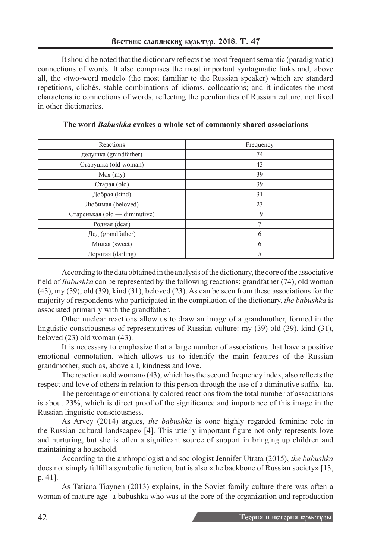It should be noted that the dictionary reflects the most frequent semantic (paradigmatic) connections of words. It also comprises the most important syntagmatic links and, above all, the «two-word model» (the most familiar to the Russian speaker) which are standard repetitions, clichés, stable combinations of idioms, collocations; and it indicates the most characteristic connections of words, reflecting the peculiarities of Russian culture, not fixed in other dictionaries.

| Reactions                     | Frequency |
|-------------------------------|-----------|
| дедушка (grandfather)         | 74        |
| Старушка (old woman)          | 43        |
| $M$ оя $(my)$                 | 39        |
| Старая (old)                  | 39        |
| Добрая (kind)                 | 31        |
| Любимая (beloved)             | 23        |
| Старенькая (old — diminutive) | 19        |
| Родная (dear)                 | 7         |
| Дед (grandfather)             | 6         |
| Милая (sweet)                 | 6         |
| Дорогая (darling)             | 5         |

**The word** *Babushka* **evokes a whole set of commonly shared associations**

According to the data obtained in the analysis of the dictionary, the core of the associative field of *Babushka* can be represented by the following reactions: grandfather (74), old woman (43), my (39), old (39), kind (31), beloved (23). As can be seen from these associations for the majority of respondents who participated in the compilation of the dictionary, *the babushka* is associated primarily with the grandfather.

Other nuclear reactions allow us to draw an image of a grandmother, formed in the linguistic consciousness of representatives of Russian culture: my (39) old (39), kind (31), beloved (23) old woman (43).

It is necessary to emphasize that a large number of associations that have a positive emotional connotation, which allows us to identify the main features of the Russian grandmother, such as, above all, kindness and love.

The reaction «old woman» (43), which has the second frequency index, also reflects the respect and love of others in relation to this person through the use of a diminutive suffix -ka.

The percentage of emotionally colored reactions from the total number of associations is about 23%, which is direct proof of the significance and importance of this image in the Russian linguistic consciousness.

As Arvey (2014) argues, *the babushka* is «one highly regarded feminine role in the Russian cultural landscape» [4]. This utterly important figure not only represents love and nurturing, but she is often a significant source of support in bringing up children and maintaining a household.

According to the anthropologist and sociologist Jennifer Utrata (2015), *the babushka*  does not simply fulfill a symbolic function, but is also «the backbone of Russian society» [13, p. 41].

As Tatiana Tiaynen (2013) explains, in the Soviet family culture there was often a woman of mature age- a babushka who was at the core of the organization and reproduction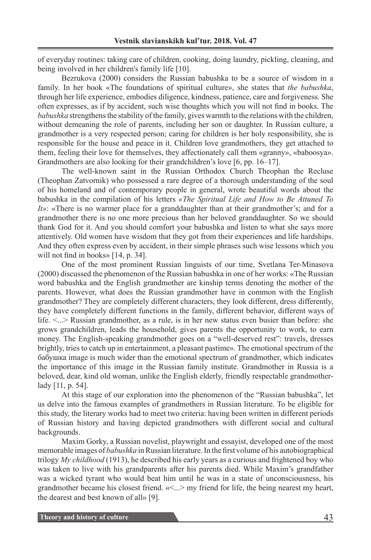of everyday routines: taking care of children, cooking, doing laundry, pickling, cleaning, and being involved in her children's family life [10].

Bezrukova (2000) considers the Russian babushka to be a source of wisdom in a family. In her book «The foundations of spiritual culture», she states that *the babushka*, through her life experience, embodies diligence, kindness, patience, care and forgiveness. She often expresses, as if by accident, such wise thoughts which you will not find in books. The *babushka* strengthens the stability of the family, gives warmth to the relations with the children, without demeaning the role of parents, including her son or daughter. In Russian culture, a grandmother is a very respected person; caring for children is her holy responsibility, she is responsible for the house and peace in it. Children love grandmothers, they get attached to them, feeling their love for themselves, they affectionately call them «granny», «baboosya». Grandmothers are also looking for their grandchildren's love [6, pp. 16–17].

The well-known saint in the Russian Orthodox Church Theophan the Recluse (Theophan Zatvornik) who possessed a rare degree of a thorough understanding of the soul of his homeland and of contemporary people in general, wrote beautiful words about the babushka in the compilation of his letters *«The Spiritual Life and How to Be Attuned To It»*: «There is no warmer place for a granddaughter than at their grandmother's; and for a grandmother there is no one more precious than her beloved granddaughter. So we should thank God for it. And you should comfort your babushka and listen to what she says more attentively. Old women have wisdom that they got from their experiences and life hardships. And they often express even by accident, in their simple phrases such wise lessons which you will not find in books» [14, p. 34].

One of the most prominent Russian linguists of our time, Svetlana Ter-Minasova (2000) discussed the phenomenon of the Russian babushka in one of her works: «The Russian word babushka and the English grandmother are kinship terms denoting the mother of the parents. However, what does the Russian grandmother have in common with the English grandmother? They are completely different characters, they look different, dress differently, they have completely different functions in the family, different behavior, different ways of life.  $\leq$   $\therefore$  Russian grandmother, as a rule, is in her new status even busier than before: she grows grandchildren, leads the household, gives parents the opportunity to work, to earn money. The English-speaking grandmother goes on a "well-deserved rest": travels, dresses brightly, tries to catch up in entertainment, a pleasant pastime». The emotional spectrum of the бабушка image is much wider than the emotional spectrum of grandmother, which indicates the importance of this image in the Russian family institute. Grandmother in Russia is a beloved, dear, kind old woman, unlike the English elderly, friendly respectable grandmotherlady [11, p. 54].

At this stage of our exploration into the phenomenon of the "Russian babushka", let us delve into the famous examples of grandmothers in Russian literature. To be eligible for this study, the literary works had to meet two criteria: having been written in different periods of Russian history and having depicted grandmothers with different social and cultural backgrounds.

Maxim Gorky, a Russian novelist, playwright and essayist, developed one of the most memorable images of *babushka* in Russian literature. In the first volume of his autobiographical trilogy *My childhood* (1913), he described his early years as a curious and frightened boy who was taken to live with his grandparents after his parents died. While Maxim's grandfather was a wicked tyrant who would beat him until he was in a state of unconsciousness, his grandmother became his closest friend. «<...> my friend for life, the being nearest my heart, the dearest and best known of all» [9].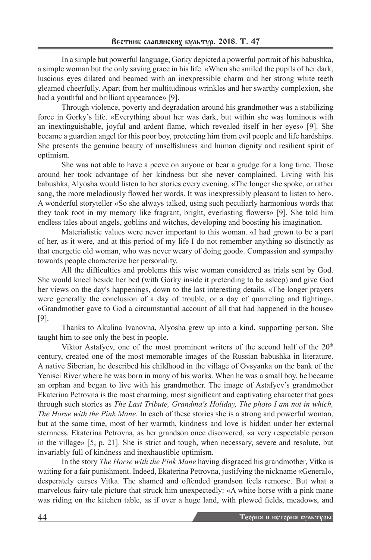In a simple but powerful language, Gorky depicted a powerful portrait of his babushka, a simple woman but the only saving grace in his life. «When she smiled the pupils of her dark, luscious eyes dilated and beamed with an inexpressible charm and her strong white teeth gleamed cheerfully. Apart from her multitudinous wrinkles and her swarthy complexion, she had a youthful and brilliant appearance» [9].

Through violence, poverty and degradation around his grandmother was a stabilizing force in Gorky's life. «Everything about her was dark, but within she was luminous with an inextinguishable, joyful and ardent flame, which revealed itself in her eyes» [9]. She became a guardian angel for this poor boy, protecting him from evil people and life hardships. She presents the genuine beauty of unselfishness and human dignity and resilient spirit of optimism.

She was not able to have a peeve on anyone or bear a grudge for a long time. Those around her took advantage of her kindness but she never complained. Living with his babushka, Alyosha would listen to her stories every evening. «The longer she spoke, or rather sang, the more melodiously flowed her words. It was inexpressibly pleasant to listen to her». A wonderful storyteller «So she always talked, using such peculiarly harmonious words that they took root in my memory like fragrant, bright, everlasting flowers» [9]. She told him endless tales about angels, goblins and witches, developing and boosting his imagination.

Materialistic values were never important to this woman. «I had grown to be a part of her, as it were, and at this period of my life I do not remember anything so distinctly as that energetic old woman, who was never weary of doing good». Compassion and sympathy towards people characterize her personality.

All the difficulties and problems this wise woman considered as trials sent by God. She would kneel beside her bed (with Gorky inside it pretending to be asleep) and give God her views on the day's happenings, down to the last interesting details. «The longer prayers were generally the conclusion of a day of trouble, or a day of quarreling and fighting». «Grandmother gave to God a circumstantial account of all that had happened in the house» [9].

Thanks to Akulina Ivanovna, Alyosha grew up into a kind, supporting person. She taught him to see only the best in people.

Viktor Astafyev, one of the most prominent writers of the second half of the 20<sup>th</sup> century, created one of the most memorable images of the Russian babushka in literature. A native Siberian, he described his childhood in the village of Ovsyanka on the bank of the Yenisei River where he was born in many of his works. When he was a small boy, he became an orphan and began to live with his grandmother. The image of Astafyev's grandmother Ekaterina Petrovna is the most charming, most significant and captivating character that goes through such stories as *The Last Tribute, Grandma's Holiday, The photo I am not in which, The Horse with the Pink Mane.* In each of these stories she is a strong and powerful woman, but at the same time, most of her warmth, kindness and love is hidden under her external sternness. Ekaterina Petrovna, as her grandson once discovered, «a very respectable person in the village» [5, p. 21]. She is strict and tough, when necessary, severe and resolute, but invariably full of kindness and inexhaustible optimism.

In the story *The Horse with the Pink Mane* having disgraced his grandmother, Vitka is waiting for a fair punishment. Indeed, Ekaterina Petrovna, justifying the nickname «General», desperately curses Vitka. The shamed and offended grandson feels remorse. But what a marvelous fairy-tale picture that struck him unexpectedly: «A white horse with a pink mane was riding on the kitchen table, as if over a huge land, with plowed fields, meadows, and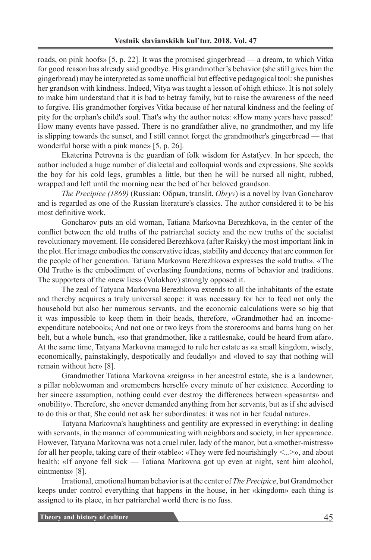roads, on pink hoofs» [5, p. 22]. It was the promised gingerbread — a dream, to which Vitka for good reason has already said goodbye. His grandmother's behavior (she still gives him the gingerbread) may be interpreted as some unofficial but effective pedagogical tool: she punishes her grandson with kindness. Indeed, Vitya was taught a lesson of «high ethics». It is not solely to make him understand that it is bad to betray family, but to raise the awareness of the need to forgive. His grandmother forgives Vitka because of her natural kindness and the feeling of pity for the orphan's child's soul. That's why the author notes: «How many years have passed! How many events have passed. There is no grandfather alive, no grandmother, and my life is slipping towards the sunset, and I still cannot forget the grandmother's gingerbread — that wonderful horse with a pink mane» [5, p. 26].

Ekaterina Petrovna is the guardian of folk wisdom for Astafyev. In her speech, the author included a huge number of dialectal and colloquial words and expressions. She scolds the boy for his cold legs, grumbles a little, but then he will be nursed all night, rubbed, wrapped and left until the morning near the bed of her beloved grandson.

*The Precipice (1869)* (Russian: Обрыв, translit. *Obryv*) is a novel by Ivan Goncharov and is regarded as one of the Russian literature's classics. The author considered it to be his most definitive work.

Goncharov puts an old woman, Tatiana Markovna Berezhkova, in the center of the conflict between the old truths of the patriarchal society and the new truths of the socialist revolutionary movement. He considered Berezhkova (after Raisky) the most important link in the plot. Her image embodies the conservative ideas, stability and decency that are common for the people of her generation. Tatiana Markovna Berezhkova expresses the «old truth». «The Old Truth» is the embodiment of everlasting foundations, norms of behavior and traditions. The supporters of the «new lies» (Volokhov) strongly opposed it.

The zeal of Tatyana Markovna Berezhkova extends to all the inhabitants of the estate and thereby acquires a truly universal scope: it was necessary for her to feed not only the household but also her numerous servants, and the economic calculations were so big that it was impossible to keep them in their heads, therefore, «Grandmother had an incomeexpenditure notebook»; And not one or two keys from the storerooms and barns hung on her belt, but a whole bunch, «so that grandmother, like a rattlesnake, could be heard from afar». At the same time, Tatyana Markovna managed to rule her estate as «a small kingdom, wisely, economically, painstakingly, despotically and feudally» and «loved to say that nothing will remain without her» [8].

Grandmother Tatiana Markovna «reigns» in her ancestral estate, she is a landowner, a pillar noblewoman and «remembers herself» every minute of her existence. According to her sincere assumption, nothing could ever destroy the differences between «peasants» and «nobility». Therefore, she «never demanded anything from her servants, but as if she advised to do this or that; She could not ask her subordinates: it was not in her feudal nature».

Tatyana Markovna's haughtiness and gentility are expressed in everything: in dealing with servants, in the manner of communicating with neighbors and society, in her appearance. However, Tatyana Markovna was not a cruel ruler, lady of the manor, but a «mother-mistress» for all her people, taking care of their «table»: «They were fed nourishingly <...>», and about health: «If anyone fell sick — Tatiana Markovna got up even at night, sent him alcohol, ointments» [8].

Irrational, emotional human behavior is at the center of *The Precipice*, but Grandmother keeps under control everything that happens in the house, in her «kingdom» each thing is assigned to its place, in her patriarchal world there is no fuss.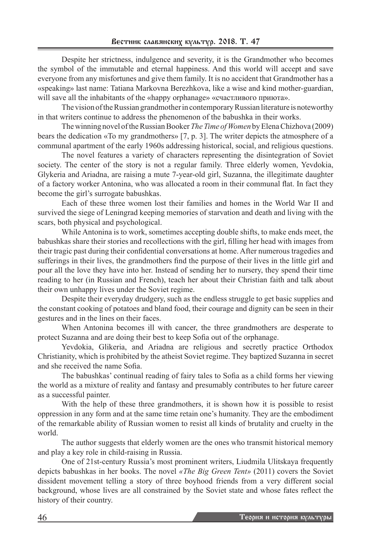Despite her strictness, indulgence and severity, it is the Grandmother who becomes the symbol of the immutable and eternal happiness. And this world will accept and save everyone from any misfortunes and give them family. It is no accident that Grandmother has a «speaking» last name: Tatiana Markovna Berezhkova, like a wise and kind mother-guardian, will save all the inhabitants of the «happy orphanage» «счастливого приюта».

The vision of the Russian grandmother in contemporary Russian literature is noteworthy in that writers continue to address the phenomenon of the babushka in their works.

The winning novel of the Russian Booker *The Time of Women* by Elena Chizhova (2009) bears the dedication «To my grandmothers» [7, p. 3]. The writer depicts the atmosphere of a communal apartment of the early 1960s addressing historical, social, and religious questions.

The novel features a variety of characters representing the disintegration of Soviet society. The center of the story is not a regular family. Three elderly women, Yevdokia, Glykeria and Ariadna, are raising a mute 7-year-old girl, Suzanna, the illegitimate daughter of a factory worker Antonina, who was allocated a room in their communal flat. In fact they become the girl's surrogate babushkas.

Each of these three women lost their families and homes in the World War II and survived the siege of Leningrad keeping memories of starvation and death and living with the scars, both physical and psychological.

While Antonina is to work, sometimes accepting double shifts, to make ends meet, the babushkas share their stories and recollections with the girl, filling her head with images from their tragic past during their confidential conversations at home. After numerous tragedies and sufferings in their lives, the grandmothers find the purpose of their lives in the little girl and pour all the love they have into her. Instead of sending her to nursery, they spend their time reading to her (in Russian and French), teach her about their Christian faith and talk about their own unhappy lives under the Soviet regime.

Despite their everyday drudgery, such as the endless struggle to get basic supplies and the constant cooking of potatoes and bland food, their courage and dignity can be seen in their gestures and in the lines on their faces.

When Antonina becomes ill with cancer, the three grandmothers are desperate to protect Suzanna and are doing their best to keep Sofia out of the orphanage.

Yevdokia, Glikeria, and Ariadna are religious and secretly practice Orthodox Christianity, which is prohibited by the atheist Soviet regime. They baptized Suzanna in secret and she received the name Sofia.

The babushkas' continual reading of fairy tales to Sofia as a child forms her viewing the world as a mixture of reality and fantasy and presumably contributes to her future career as a successful painter.

With the help of these three grandmothers, it is shown how it is possible to resist oppression in any form and at the same time retain one's humanity. They are the embodiment of the remarkable ability of Russian women to resist all kinds of brutality and cruelty in the world.

The author suggests that elderly women are the ones who transmit historical memory and play a key role in child-raising in Russia.

One of 21st-century Russia's most prominent writers, Liudmila Ulitskaya frequently depicts babushkas in her books. The novel *«The Big Green Tent»* (2011) covers the Soviet dissident movement telling a story of three boyhood friends from a very different social background, whose lives are all constrained by the Soviet state and whose fates reflect the history of their country.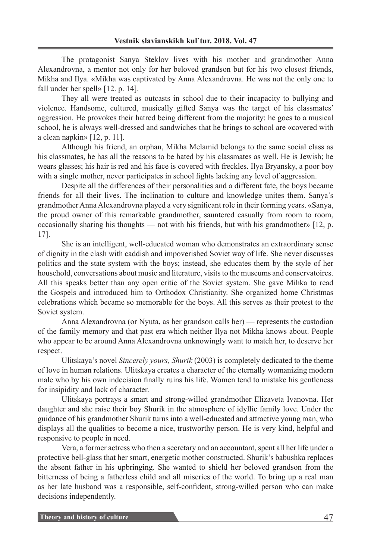The protagonist Sanya Steklov lives with his mother and grandmother Anna Alexandrovna, a mentor not only for her beloved grandson but for his two closest friends, Mikha and Ilya. «Mikha was captivated by Anna Alexandrovna. He was not the only one to fall under her spell» [12. p. 14].

They all were treated as outcasts in school due to their incapacity to bullying and violence. Handsome, cultured, musically gifted Sanya was the target of his classmates' aggression. He provokes their hatred being different from the majority: he goes to a musical school, he is always well-dressed and sandwiches that he brings to school are «covered with a clean napkin» [12, p. 11].

Although his friend, an orphan, Mikha Melamid belongs to the same social class as his classmates, he has all the reasons to be hated by his classmates as well. He is Jewish; he wears glasses; his hair is red and his face is covered with freckles. Ilya Bryansky, a poor boy with a single mother, never participates in school fights lacking any level of aggression.

Despite all the differences of their personalities and a different fate, the boys became friends for all their lives. The inclination to culture and knowledge unites them. Sanya's grandmother Anna Alexandrovna played a very significant role in their forming years. «Sanya, the proud owner of this remarkable grandmother, sauntered casually from room to room, occasionally sharing his thoughts — not with his friends, but with his grandmother» [12, p. 17].

She is an intelligent, well-educated woman who demonstrates an extraordinary sense of dignity in the clash with caddish and impoverished Soviet way of life. She never discusses politics and the state system with the boys; instead, she educates them by the style of her household, conversations about music and literature, visits to the museums and conservatoires. All this speaks better than any open critic of the Soviet system. She gave Mihka to read the Gospels and introduced him to Orthodox Christianity. She organized home Christmas celebrations which became so memorable for the boys. All this serves as their protest to the Soviet system.

Anna Alexandrovna (or Nyuta, as her grandson calls her) — represents the custodian of the family memory and that past era which neither Ilya not Mikha knows about. People who appear to be around Anna Alexandrovna unknowingly want to match her, to deserve her respect.

Ulitskaya's novel *Sincerely yours, Shurik* (2003) is completely dedicated to the theme of love in human relations. Ulitskaya creates a character of the eternally womanizing modern male who by his own indecision finally ruins his life. Women tend to mistake his gentleness for insipidity and lack of character.

Ulitskaya portrays a smart and strong-willed grandmother Elizaveta Ivanovna. Her daughter and she raise their boy Shurik in the atmosphere of idyllic family love. Under the guidance of his grandmother Shurik turns into a well-educated and attractive young man, who displays all the qualities to become a nice, trustworthy person. He is very kind, helpful and responsive to people in need.

Vera, a former actress who then a secretary and an accountant, spent all her life under a protective bell-glass that her smart, energetic mother constructed. Shurik's babushka replaces the absent father in his upbringing. She wanted to shield her beloved grandson from the bitterness of being a fatherless child and all miseries of the world. To bring up a real man as her late husband was a responsible, self-confident, strong-willed person who can make decisions independently.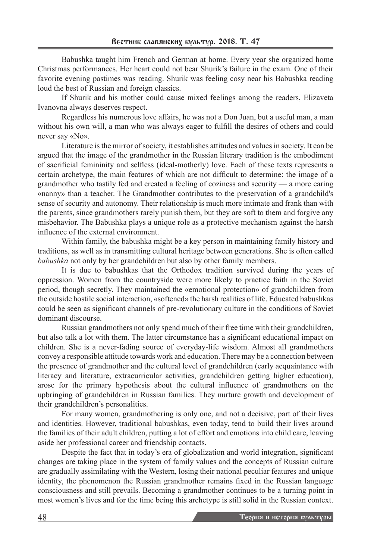Babushka taught him French and German at home. Every year she organized home Christmas performances. Her heart could not bear Shurik's failure in the exam. One of their favorite evening pastimes was reading. Shurik was feeling cosy near his Babushka reading loud the best of Russian and foreign classics.

If Shurik and his mother could cause mixed feelings among the readers, Elizaveta Ivanovna always deserves respect.

Regardless his numerous love affairs, he was not a Don Juan, but a useful man, a man without his own will, a man who was always eager to fulfill the desires of others and could never say «No».

Literature is the mirror of society, it establishes attitudes and values in society. It can be argued that the image of the grandmother in the Russian literary tradition is the embodiment of sacrificial femininity and selfless (ideal-motherly) love. Each of these texts represents a certain archetype, the main features of which are not difficult to determine: the image of a grandmother who tastily fed and created a feeling of coziness and security — a more caring «nanny» than a teacher. The Grandmother contributes to the preservation of a grandchild's sense of security and autonomy. Their relationship is much more intimate and frank than with the parents, since grandmothers rarely punish them, but they are soft to them and forgive any misbehavior. The Babushka plays a unique role as a protective mechanism against the harsh influence of the external environment.

Within family, the babushka might be a key person in maintaining family history and traditions, as well as in transmitting cultural heritage between generations. She is often called *babushka* not only by her grandchildren but also by other family members.

It is due to babushkas that the Orthodox tradition survived during the years of oppression. Women from the countryside were more likely to practice faith in the Soviet period, though secretly. They maintained the «emotional protection» of grandchildren from the outside hostile social interaction, «softened» the harsh realities of life. Educated babushkas could be seen as significant channels of pre-revolutionary culture in the conditions of Soviet dominant discourse.

Russian grandmothers not only spend much of their free time with their grandchildren, but also talk a lot with them. The latter circumstance has a significant educational impact on children. She is a never-fading source of everyday-life wisdom. Almost all grandmothers convey a responsible attitude towards work and education. There may be a connection between the presence of grandmother and the cultural level of grandchildren (early acquaintance with literacy and literature, extracurricular activities, grandchildren getting higher education), arose for the primary hypothesis about the cultural influence of grandmothers on the upbringing of grandchildren in Russian families. They nurture growth and development of their grandchildren's personalities.

For many women, grandmothering is only one, and not a decisive, part of their lives and identities. However, traditional babushkas, even today, tend to build their lives around the families of their adult children, putting a lot of effort and emotions into child care, leaving aside her professional career and friendship contacts.

Despite the fact that in today's era of globalization and world integration, significant changes are taking place in the system of family values and the concepts of Russian culture are gradually assimilating with the Western, losing their national peculiar features and unique identity, the phenomenon the Russian grandmother remains fixed in the Russian language consciousness and still prevails. Becoming a grandmother continues to be a turning point in most women's lives and for the time being this archetype is still solid in the Russian context.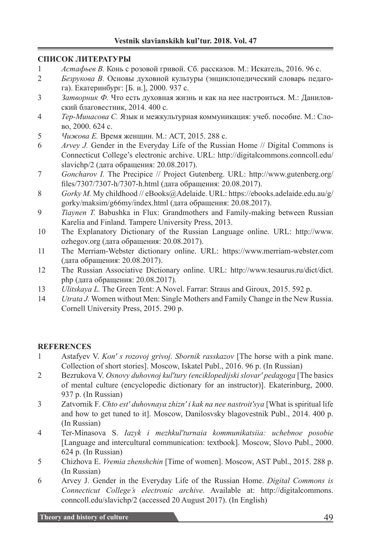### **СПИСОК ЛИТЕРАТУРЫ**

- 1 *Астафьев В.* Конь с розовой гривой. Сб. рассказов. М.: Искатель, 2016. 96 с.
- 2 *Безрукова В.* Основы духовной культуры (энциклопедический словарь педагога). Екатеринбург: [Б. и.], 2000. 937 с.
- 3 *Затворник Ф.* Что есть духовная жизнь и как на нее настроиться. М.: Даниловский благовестник, 2014. 400 с.
- 4 *Тер-Минасова С.* Язык и межкультурная коммуникация: учеб. пособие. М.: Слово, 2000. 624 с.
- 5 *Чижова Е.* Время женщин. М.: АСТ, 2015. 288 с.
- 6 *Arvey J.* Gender in the Everyday Life of the Russian Home // Digital Commons is Connecticut College's electronic archive. URL: http://digitalcommons.conncoll.edu/ slavichp/2 (дата обращения: 20.08.2017).
- 7 *Goncharov I.* The Precipice // Project Gutenberg. URL: http://www.gutenberg.org/ files/7307/7307-h/7307-h.html (дата обращения: 20.08.2017).
- 8 *Gorky M.* My childhood // eBooks@Adelaide. URL: https://ebooks.adelaide.edu.au/g/ gorky/maksim/g66my/index.html (дата обращения: 20.08.2017).
- 9 *Tiaynen T.* Babushka in Flux: Grandmothers and Family-making between Russian Karelia and Finland. Tampere University Press, 2013.
- 10 The Explanatory Dictionary of the Russian Language online. URL: http://www. ozhegov.org (дата обращения: 20.08.2017).
- 11 The Merriam-Webster dictionary online. URL: https://www.merriam-webster.com (дата обращения: 20.08.2017).
- 12 The Russian Associative Dictionary online. URL: http://www.tesaurus.ru/dict/dict. php (дата обращения: 20.08.2017).
- 13 *Ulitskaya L.* The Green Tent: A Novel. Farrar: Straus and Giroux, 2015. 592 p.
- 14 *Utrata J.* Women without Men: Single Mothers and Family Change in the New Russia. Cornell University Press, 2015. 290 p.

# **REFERENCES**

- 1 Astafyev V. *Kon' s rozovoj grivoj. Sbornik rasskazov* [The horse with a pink mane. Collection of short stories]. Moscow, Iskatel Publ., 2016. 96 p. (In Russian)
- 2 Bezrukova V. *Osnovy duhovnoj kul'tury (enciklopedijski slovar' pedagoga* [The basics of mental culture (encyclopedic dictionary for an instructor)]. Ekaterinburg, 2000. 937 p. (In Russian)
- 3 Zatvornik F. *Сhto est' duhovnaya zhizn' i kak na nee nastroit'sya* [What is spiritual life and how to get tuned to it]. Moscow, Danilosvsky blagovestnik Publ., 2014. 400 p. (In Russian)
- 4 Ter-Minasova S. *Iazyk i mezhkul'turnaia kommunikatsiia: uchebnoe posobie*  [Language and intercultural communication: textbook]. Moscow, Slovo Publ., 2000. 624 p. (In Russian)
- 5 Chizhova E. *Vremia zhenshchin* [Time of women]. Moscow, AST Publ., 2015. 288 p. (In Russian)
- 6 Arvey J. Gender in the Everyday Life of the Russian Home. *Digital Commons is Connecticut College's electronic archive.* Available at: http://digitalcommons. conncoll.edu/slavichp/2 (accessed 20 August 2017). (In English)